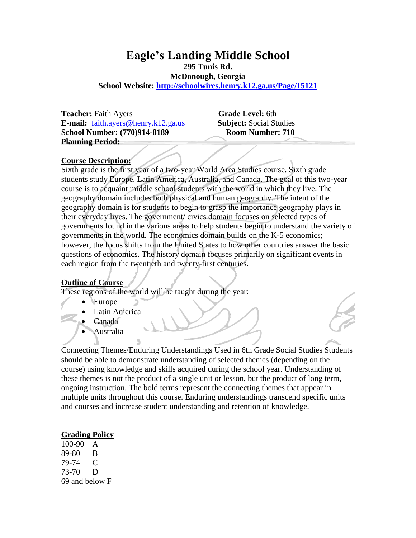# **Eagle's Landing Middle School**

**295 Tunis Rd.**

**McDonough, Georgia**

**School Website:<http://schoolwires.henry.k12.ga.us/Page/15121>**

**Teacher:** Faith Ayers **Grade Level:** 6th **E-mail:** [faith.ayers@henry.k12.ga.us](mailto:faith.ayers@henry.k12.ga.us) **Subject:** Social Studies **School Number: (770)914-8189 Room Number: 710 Planning Period:** 

#### **Course Description:**

Sixth grade is the first year of a two-year World Area Studies course. Sixth grade students study Europe, Latin America, Australia, and Canada. The goal of this two-year course is to acquaint middle school students with the world in which they live. The geography domain includes both physical and human geography. The intent of the geography domain is for students to begin to grasp the importance geography plays in their everyday lives. The government/ civics domain focuses on selected types of governments found in the various areas to help students begin to understand the variety of governments in the world. The economics domain builds on the K-5 economics; however, the focus shifts from the United States to how other countries answer the basic questions of economics. The history domain focuses primarily on significant events in each region from the twentieth and twenty-first centuries.

#### **Outline of Course**

These regions of the world will be taught during the year:

- Europe
- Latin America
- Canada
- Australia

Connecting Themes/Enduring Understandings Used in 6th Grade Social Studies Students should be able to demonstrate understanding of selected themes (depending on the course) using knowledge and skills acquired during the school year. Understanding of these themes is not the product of a single unit or lesson, but the product of long term, ongoing instruction. The bold terms represent the connecting themes that appear in multiple units throughout this course. Enduring understandings transcend specific units and courses and increase student understanding and retention of knowledge.

#### **Grading Policy**

100-90 A 89-80 B 79-74 C 73-70 D 69 and below F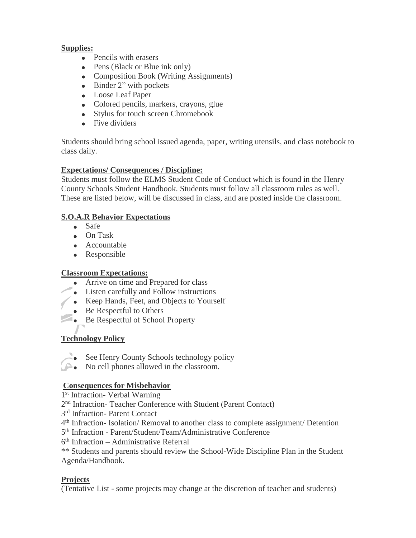#### **Supplies:**

- Pencils with erasers
- Pens (Black or Blue ink only)
- Composition Book (Writing Assignments)
- Binder 2" with pockets
- Loose Leaf Paper
- Colored pencils, markers, crayons, glue
- Stylus for touch screen Chromebook
- Five dividers

Students should bring school issued agenda, paper, writing utensils, and class notebook to class daily.

## **Expectations/ Consequences / Discipline:**

Students must follow the ELMS Student Code of Conduct which is found in the Henry County Schools Student Handbook. Students must follow all classroom rules as well. These are listed below, will be discussed in class, and are posted inside the classroom.

# **S.O.A.R Behavior Expectations**

- Safe
- On Task
- Accountable
- Responsible

## **Classroom Expectations:**

- Arrive on time and Prepared for class
- Listen carefully and Follow instructions
- Keep Hands, Feet, and Objects to Yourself
- Be Respectful to Others
- Be Respectful of School Property

# **Technology Policy**

- See Henry County Schools technology policy
- No cell phones allowed in the classroom.

# **Consequences for Misbehavior**

1 st Infraction- Verbal Warning

2<sup>nd</sup> Infraction-Teacher Conference with Student (Parent Contact)

- 3 rd Infraction- Parent Contact
- 4<sup>th</sup> Infraction- Isolation/ Removal to another class to complete assignment/ Detention

5<sup>th</sup> Infraction - Parent/Student/Team/Administrative Conference

6 th Infraction – Administrative Referral

\*\* Students and parents should review the School-Wide Discipline Plan in the Student Agenda/Handbook.

## **Projects**

(Tentative List - some projects may change at the discretion of teacher and students)